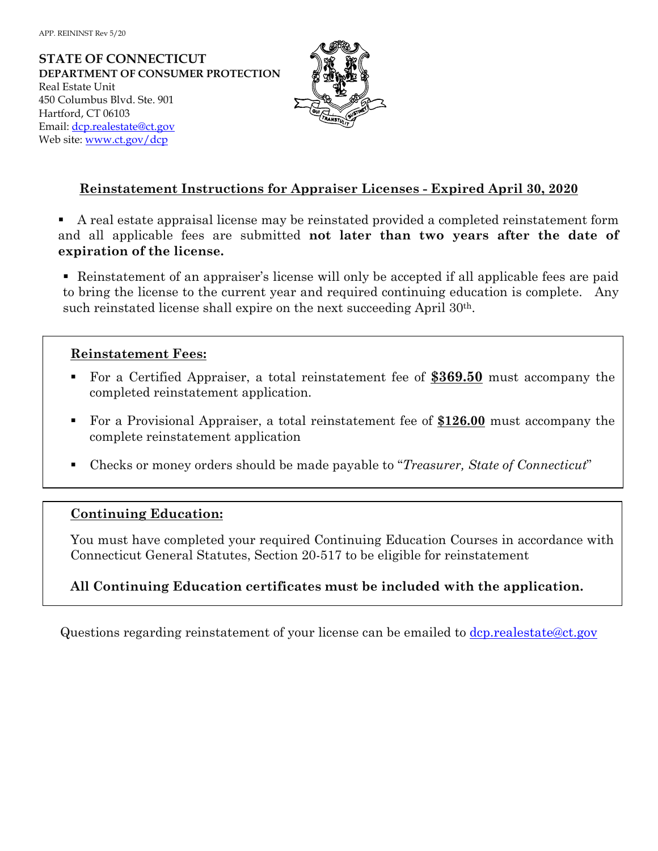**STATE OF CONNECTICUT DEPARTMENT OF CONSUMER PROTECTION** Real Estate Unit 450 Columbus Blvd. Ste. 901 Hartford, CT 06103 Email: dcp.realestate@ct.gov Web site: www.ct.gov/dcp



## **Reinstatement Instructions for Appraiser Licenses - Expired April 30, 2020**

- A real estate appraisal license may be reinstated provided a completed reinstatement form and all applicable fees are submitted **not later than two years after the date of expiration of the license.**
- Reinstatement of an appraiser's license will only be accepted if all applicable fees are paid to bring the license to the current year and required continuing education is complete. Any such reinstated license shall expire on the next succeeding April 30th.

## **Reinstatement Fees:**

- For a Certified Appraiser, a total reinstatement fee of **\$369.50** must accompany the completed reinstatement application.
- For a Provisional Appraiser, a total reinstatement fee of **\$126.00** must accompany the complete reinstatement application
- Checks or money orders should be made payable to "*Treasurer, State of Connecticut*"

## **Continuing Education:**

You must have completed your required Continuing Education Courses in accordance with Connecticut General Statutes, Section 20-517 to be eligible for reinstatement

## **All Continuing Education certificates must be included with the application.**

Questions regarding reinstatement of your license can be emailed to dcp.realestate@ct.gov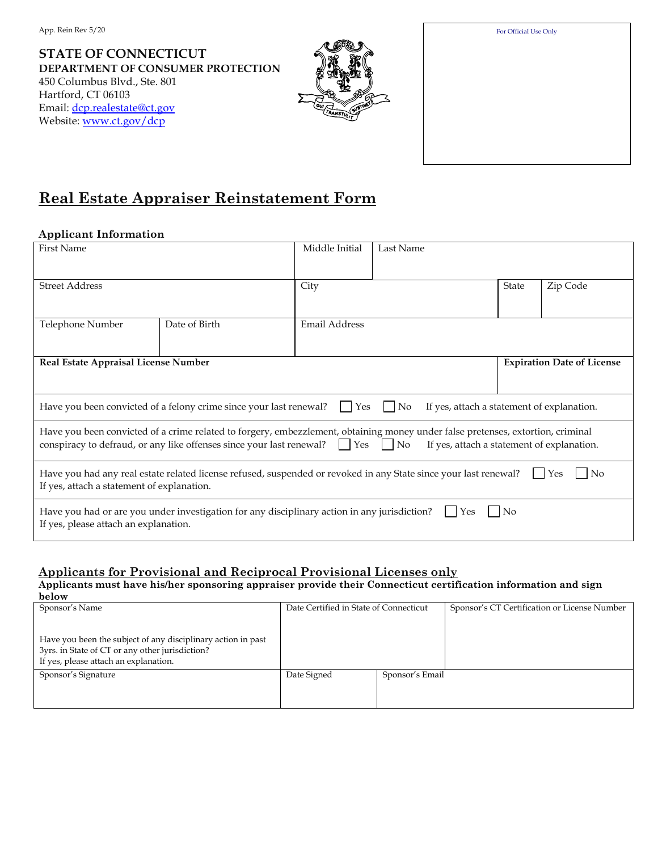**STATE OF CONNECTICUT DEPARTMENT OF CONSUMER PROTECTION**  450 Columbus Blvd., Ste. 801 Hartford, CT 06103 Email: dcp.realestate@ct.gov Website: www.ct.gov/dcp





# **Real Estate Appraiser Reinstatement Form**

### **Applicant Information**

| <b>First Name</b>                                                                                                                                                             |               | Middle Initial       | Last Name |              |                                   |  |  |
|-------------------------------------------------------------------------------------------------------------------------------------------------------------------------------|---------------|----------------------|-----------|--------------|-----------------------------------|--|--|
|                                                                                                                                                                               |               |                      |           |              |                                   |  |  |
| <b>Street Address</b>                                                                                                                                                         |               | City                 |           | <b>State</b> | Zip Code                          |  |  |
|                                                                                                                                                                               |               |                      |           |              |                                   |  |  |
| Telephone Number                                                                                                                                                              | Date of Birth | <b>Email Address</b> |           |              |                                   |  |  |
|                                                                                                                                                                               |               |                      |           |              |                                   |  |  |
| Real Estate Appraisal License Number                                                                                                                                          |               |                      |           |              | <b>Expiration Date of License</b> |  |  |
|                                                                                                                                                                               |               |                      |           |              |                                   |  |  |
| $\vert$ Yes<br>Have you been convicted of a felony crime since your last renewal?<br>$ N_{0} $<br>If yes, attach a statement of explanation.                                  |               |                      |           |              |                                   |  |  |
| Have you been convicted of a crime related to forgery, embezzlement, obtaining money under false pretenses, extortion, criminal                                               |               |                      |           |              |                                   |  |  |
| conspiracy to defraud, or any like offenses since your last renewal? Yes<br>$\vert$ No<br>If yes, attach a statement of explanation.                                          |               |                      |           |              |                                   |  |  |
| Have you had any real estate related license refused, suspended or revoked in any State since your last renewal?<br>l No<br>Yes<br>If yes, attach a statement of explanation. |               |                      |           |              |                                   |  |  |
| Have you had or are you under investigation for any disciplinary action in any jurisdiction?<br>N <sub>0</sub><br>Yes<br>If yes, please attach an explanation.                |               |                      |           |              |                                   |  |  |
|                                                                                                                                                                               |               |                      |           |              |                                   |  |  |

## **Applicants for Provisional and Reciprocal Provisional Licenses only**

**Applicants must have his/her sponsoring appraiser provide their Connecticut certification information and sign below**

| Sponsor's Name                                                                                                                                           | Date Certified in State of Connecticut |                 | Sponsor's CT Certification or License Number |
|----------------------------------------------------------------------------------------------------------------------------------------------------------|----------------------------------------|-----------------|----------------------------------------------|
| Have you been the subject of any disciplinary action in past<br>3yrs. in State of CT or any other jurisdiction?<br>If yes, please attach an explanation. |                                        |                 |                                              |
| Sponsor's Signature                                                                                                                                      | Date Signed                            | Sponsor's Email |                                              |